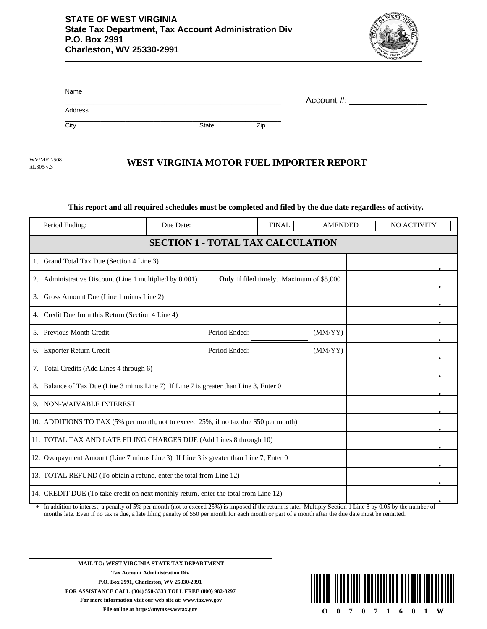

| Name    |       |     |               |
|---------|-------|-----|---------------|
| Address |       |     | Account $#$ : |
| City    | State | Zip |               |

rtL305 v.3

## WV/MFT-508 **WEST VIRGINIA MOTOR FUEL IMPORTER REPORT**

## **This report and all required schedules must be completed and filed by the due date regardless of activity.**

| Period Ending:                                                                                             | Due Date: |               | <b>FINAL</b> | <b>AMENDED</b> |  | NO ACTIVITY |
|------------------------------------------------------------------------------------------------------------|-----------|---------------|--------------|----------------|--|-------------|
| <b>SECTION 1 - TOTAL TAX CALCULATION</b>                                                                   |           |               |              |                |  |             |
| 1. Grand Total Tax Due (Section 4 Line 3)                                                                  |           |               |              |                |  |             |
| 2. Administrative Discount (Line 1 multiplied by 0.001)<br><b>Only</b> if filed timely. Maximum of \$5,000 |           |               |              |                |  |             |
| 3. Gross Amount Due (Line 1 minus Line 2)                                                                  |           |               |              |                |  |             |
| 4. Credit Due from this Return (Section 4 Line 4)                                                          |           |               |              |                |  |             |
| 5. Previous Month Credit                                                                                   |           | Period Ended: |              | (MM/YY)        |  |             |
| 6. Exporter Return Credit                                                                                  |           | Period Ended: |              | (MM/YY)        |  |             |
| 7. Total Credits (Add Lines 4 through 6)                                                                   |           |               |              |                |  |             |
| 8. Balance of Tax Due (Line 3 minus Line 7) If Line 7 is greater than Line 3, Enter 0                      |           |               |              |                |  |             |
| 9. NON-WAIVABLE INTEREST                                                                                   |           |               |              |                |  |             |
| 10. ADDITIONS TO TAX (5% per month, not to exceed 25%; if no tax due \$50 per month)                       |           |               |              |                |  |             |
| 11. TOTAL TAX AND LATE FILING CHARGES DUE (Add Lines 8 through 10)                                         |           |               |              |                |  |             |
| 12. Overpayment Amount (Line 7 minus Line 3) If Line 3 is greater than Line 7, Enter 0                     |           |               |              |                |  |             |
| 13. TOTAL REFUND (To obtain a refund, enter the total from Line 12)                                        |           |               |              |                |  |             |
| 14. CREDIT DUE (To take credit on next monthly return, enter the total from Line 12)                       |           |               |              |                |  |             |

In addition to interest, a penalty of 5% per month (not to exceed 25%) is imposed if the return is late. Multiply Section 1 Line 8 by 0.05 by the number of months late. Even if no tax is due, a late filing penalty of \$50 per month for each month or part of a month after the due date must be remitted. \*

**MAIL TO: WEST VIRGINIA STATE TAX DEPARTMENT Tax Account Administration Div P.O. Box 2991, Charleston, WV 25330-2991 FOR ASSISTANCE CALL (304) 558-3333 TOLL FREE (800) 982-8297 For more information visit our web site at: www.tax.wv.gov**

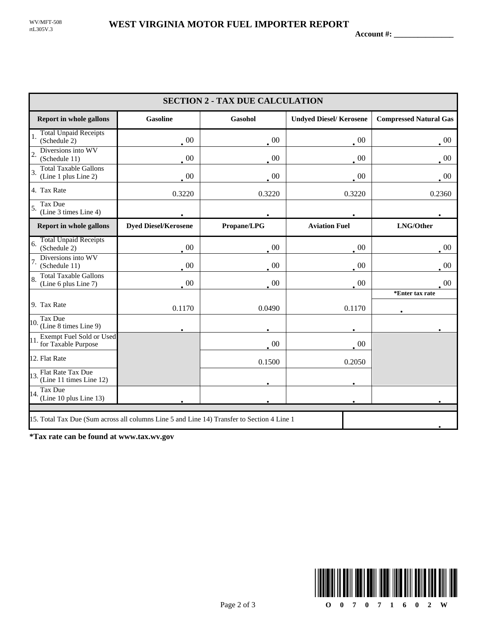**Account #: \_\_\_\_\_\_\_\_\_\_\_\_\_\_\_**

| <b>SECTION 2 - TAX DUE CALCULATION</b>                                                     |                             |                |                               |                               |
|--------------------------------------------------------------------------------------------|-----------------------------|----------------|-------------------------------|-------------------------------|
| <b>Report in whole gallons</b>                                                             | <b>Gasoline</b>             | <b>Gasohol</b> | <b>Undyed Diesel/Kerosene</b> | <b>Compressed Natural Gas</b> |
| <b>Total Unpaid Receipts</b><br>(Schedule 2)                                               | $\cdot$ 00                  | $00\,$         | $\cdot$ 00                    | $\cdot$ 00                    |
| Diversions into WV<br>$\overline{2}$<br>(Schedule 11)                                      | $\cdot$ 00                  | $00\,$         | $\cdot$ 00                    | $\cdot$ <sup>00</sup>         |
| <b>Total Taxable Gallons</b><br>3.<br>(Line 1 plus Line 2)                                 | $\cdot$ 00                  | $00\,$         | $00\,$                        | $\cdot^{00}$                  |
| 4. Tax Rate                                                                                | 0.3220                      | 0.3220         | 0.3220                        | 0.2360                        |
| Tax Due<br>5.<br>(Line 3 times Line 4)                                                     |                             |                |                               |                               |
| <b>Report in whole gallons</b>                                                             | <b>Dyed Diesel/Kerosene</b> | Propane/LPG    | <b>Aviation Fuel</b>          | LNG/Other                     |
| <b>Total Unpaid Receipts</b><br>6.<br>(Schedule 2)                                         | $00\,$                      | 00             | $00\,$                        | 00                            |
| Diversions into WV<br>(Schedule 11)                                                        | $00\,$                      | 00             | $00\,$                        | $00\,$                        |
| <b>Total Taxable Gallons</b><br>(Line 6 plus Line 7)                                       | $\overline{00}$             | $00\,$         | $00\,$                        | -00                           |
| 9. Tax Rate                                                                                | 0.1170                      | 0.0490         | 0.1170                        | *Enter tax rate               |
| Tax Due<br>$10.$ $\frac{1}{2}$ (Line 8 times Line 9)                                       |                             |                |                               |                               |
| Exempt Fuel Sold or Used<br>11.<br>for Taxable Purpose                                     |                             | $\cdot$ 00     | $00\,$                        |                               |
| 12. Flat Rate                                                                              |                             | 0.1500         | 0.2050                        |                               |
| 13. Flat Rate Tax Due<br>(Line 11 times Line 12)                                           |                             |                |                               |                               |
| Tax Due<br>14.<br>(Line 10 plus Line 13)                                                   |                             |                |                               |                               |
| 15. Total Tax Due (Sum across all columns Line 5 and Line 14) Transfer to Section 4 Line 1 |                             |                |                               |                               |

**\*Tax rate can be found at www.tax.wv.gov**